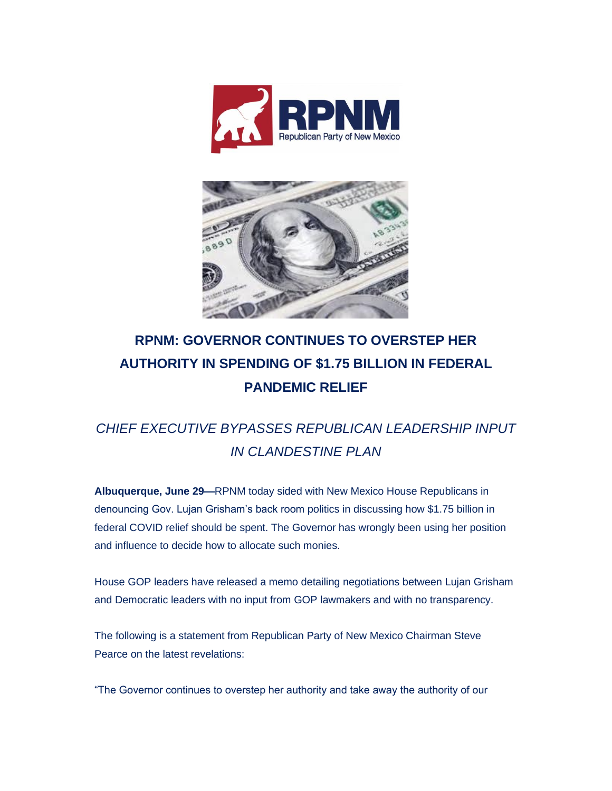



## **RPNM: GOVERNOR CONTINUES TO OVERSTEP HER AUTHORITY IN SPENDING OF \$1.75 BILLION IN FEDERAL PANDEMIC RELIEF**

## *CHIEF EXECUTIVE BYPASSES REPUBLICAN LEADERSHIP INPUT IN CLANDESTINE PLAN*

**Albuquerque, June 29—**RPNM today sided with New Mexico House Republicans in denouncing Gov. Lujan Grisham's back room politics in discussing how \$1.75 billion in federal COVID relief should be spent. The Governor has wrongly been using her position and influence to decide how to allocate such monies.

House GOP leaders have released a memo detailing negotiations between Lujan Grisham and Democratic leaders with no input from GOP lawmakers and with no transparency.

The following is a statement from Republican Party of New Mexico Chairman Steve Pearce on the latest revelations:

"The Governor continues to overstep her authority and take away the authority of our